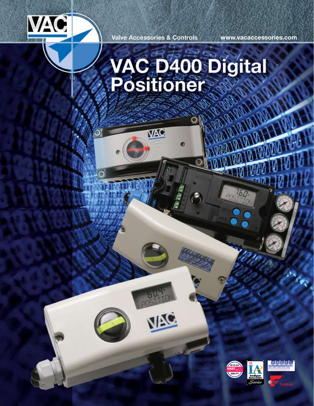

**Valve Accessories & Controls** 

VAC

**IA** 

**www.vacaccessories.com**

## **VAC D400 Digital**<br>Positioner

◉



15.0

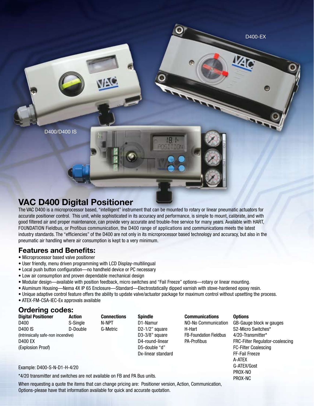D400/D400 IS

## **VAC D400 Digital Positioner**

The VAC D400 is a microprocessor based, "intelligent" instrument that can be mounted to rotary or linear pneumatic actuators for accurate positioner control. This unit, while sophisticated in its accuracy and performance, is simple to mount, calibrate, and with good filtered air and proper maintenance, can provide very accurate and trouble-free service for many years. Available with HART, FOUNDATION Fieldbus, or Profibus communication, the D400 range of applications and communications meets the latest industry standards. The "efficiencies" of the D400 are not only in its microprocessor based technology and accuracy, but also in the pneumatic air handling where air consumption is kept to a very minimum.

D400-EX

G-ATEX/Gost PROX-NO PROX-NC

## **Features and Benefits:**

- Microprocessor based valve positioner
- User friendly, menu driven programming with LCD Display-multilingual
- Local push button configuration—no handheld device or PC necessary
- Low air consumption and proven dependable mechanical design
- Modular design—available with position feedback, micro switches and "Fail Freeze" options—rotary or linear mounting.
- Aluminum Housing—Nema 4X IP 65 Enclosure—Standard—Electrostatically dipped varnish with stove-hardened epoxy resin.
- Unique adaptive control feature offers the ability to update valve/actuator package for maximum control without upsetting the process.
- ATEX-FM-CSA-IEC-Ex approvals available

## **Ordering codes:**

| <b>Digital Positioner</b>          | <b>Action</b> | <b>Connections</b> | <b>Spindle</b>              | <b>Communications</b>         | <b>Options</b>                  |
|------------------------------------|---------------|--------------------|-----------------------------|-------------------------------|---------------------------------|
| D400                               | S-Single      | N-NPT              | D1-Namur                    | NO-No Communication           | GB-Gauge block w gauges         |
| D400 IS                            | D-Double      | G-Metric           | D <sub>2</sub> -1/2" square | H-Hart                        | S2-Micro Switches*              |
| (Intrinsically safe-non incendive) |               |                    | $D3-3/8"$ square            | <b>FB-Foundation Fieldbus</b> | 4/20-Transmitter*               |
| <b>D400 EX</b>                     |               |                    | D4-round-linear             | <b>PA-Profibus</b>            | FRC-Filter Regulator-coalescing |
| (Explosion Proof)                  |               |                    | D5-double "d"               |                               | <b>FC-Filter Coalescing</b>     |
|                                    |               |                    | Dx-linear standard          |                               | FF-Fail Freeze                  |
|                                    |               |                    |                             |                               | A-ATEX                          |

Example: D400-S-N-D1-H-4/20

\*4/20 transmitter and switches are not available on FB and PA Bus units.

When requesting a quote the items that can change pricing are: Positioner version, Action, Communication, Options-please have that information available for quick and accurate quotation.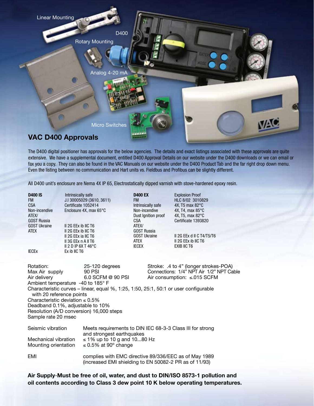

The D400 digital positioner has approvals for the below agencies. The details and exact listings associated with these approvals are quite extensive. We have a supplemental document, entitled D400 Approval Details on our website under the D400 downloads or we can email or fax you a copy. They can also be found in the VAC Manuals on our website under the D400 Product Tab and the far right drop down menu. Even the listing between no communication and Hart units vs. Fieldbus and Profibus can be slightly different.

All D400 unit's enclosure are Nema 4X IP 65, Electrostatically dipped varnish with stove-hardened epoxy resin.

**D400 IS** Intrinsically safe FM J.I 30005029 (3610, 3611) Non-incendive Enclosure 4X, max 65°C ATEX/ GOST Russia GOST Ukraine II 2G EEx ib IIC T6 ATEX II 2G EEx ib IIC T6 II 2G EEx ia IIC T6 II 3G EEx n A II T6 II 2 D IP 6X T 46°C IECEx Ex ib IIC T6

Certificate 1052414

**D400 EX** Explosion Proof Intrinsically safe 4X, T5 max 82°C<br>Non-incendive 4X. T4. max 85°C ATEX/ GOST Russia ATEX II 2G EEX Ib IIC T6 IECEX EXIB IIC T6

FM HLC 8/02 3010829<br>Intrinsically safe 4X, T5 max 82°C 4X, T4, max 85°C Dust Ignition proof 4X, T5, max 82°C CSA Certificate 1393820

GOST Ukraine II 2G EEx d II C T4/T5/T6

Rotation: 25-120 degrees Stroke: .4 to 4" (longer strokes-POA) Max Air supply 90 PSI 6.0 SCFM © 90 PSI Connections: 1/4" NPT Air 1/2" NPT Cable<br>Air delivery 6.0 SCFM © 90 PSI Air consumption: ≤.015 SCFM Air delivery 6.0 SCFM @ 90 PSI Air consumption: ≤.015 SCFM Ambient temperature -40 to 185° F Characteristic curves – linear, equal %, 1:25, 1:50, 25:1, 50:1 or user configurable with 20 reference points Characteristic deviation  $\leq 0.5\%$ Deadband 0.1%, adjustable to 10% Resolution (A/D conversion) 16,000 steps Sample rate 20 msec Seismic vibration Meets requirements to DIN IEC 68-3-3 Class III for strong and strongest earthquakes Mechanical vibration  $\leq 1\%$  up to 10 g and 10...80 Hz<br>Mounting orientation  $\leq 0.5\%$  at 90° change ≤ 0.5% at 90 $^{\circ}$  change EMI complies with EMC directive 89/336/EEC as of May 1989 (increased EMI shielding to EN 50082-2 PR as of 11/93)

**Air Supply**-**Must be free of oil, water, and dust to DIN/ISO 8573-1 pollution and oil contents according to Class 3 dew point 10 K below operating temperatures.**